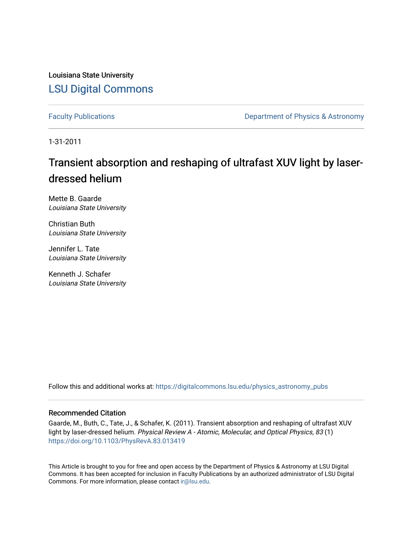Louisiana State University [LSU Digital Commons](https://digitalcommons.lsu.edu/)

[Faculty Publications](https://digitalcommons.lsu.edu/physics_astronomy_pubs) **Exercise 2 and Table 2 and Table 2 and Table 2 and Table 2 and Table 2 and Table 2 and Table 2 and Table 2 and Table 2 and Table 2 and Table 2 and Table 2 and Table 2 and Table 2 and Table 2 and Table** 

1-31-2011

# Transient absorption and reshaping of ultrafast XUV light by laserdressed helium

Mette B. Gaarde Louisiana State University

Christian Buth Louisiana State University

Jennifer L. Tate Louisiana State University

Kenneth J. Schafer Louisiana State University

Follow this and additional works at: [https://digitalcommons.lsu.edu/physics\\_astronomy\\_pubs](https://digitalcommons.lsu.edu/physics_astronomy_pubs?utm_source=digitalcommons.lsu.edu%2Fphysics_astronomy_pubs%2F2130&utm_medium=PDF&utm_campaign=PDFCoverPages) 

# Recommended Citation

Gaarde, M., Buth, C., Tate, J., & Schafer, K. (2011). Transient absorption and reshaping of ultrafast XUV light by laser-dressed helium. Physical Review A - Atomic, Molecular, and Optical Physics, 83 (1) <https://doi.org/10.1103/PhysRevA.83.013419>

This Article is brought to you for free and open access by the Department of Physics & Astronomy at LSU Digital Commons. It has been accepted for inclusion in Faculty Publications by an authorized administrator of LSU Digital Commons. For more information, please contact [ir@lsu.edu](mailto:ir@lsu.edu).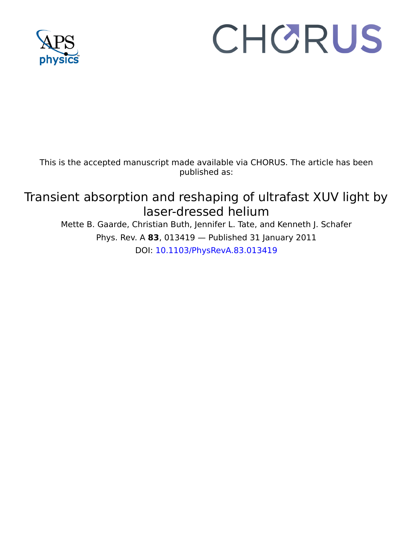

# CHORUS

This is the accepted manuscript made available via CHORUS. The article has been published as:

# Transient absorption and reshaping of ultrafast XUV light by laser-dressed helium

Mette B. Gaarde, Christian Buth, Jennifer L. Tate, and Kenneth J. Schafer Phys. Rev. A **83**, 013419 — Published 31 January 2011 DOI: [10.1103/PhysRevA.83.013419](http://dx.doi.org/10.1103/PhysRevA.83.013419)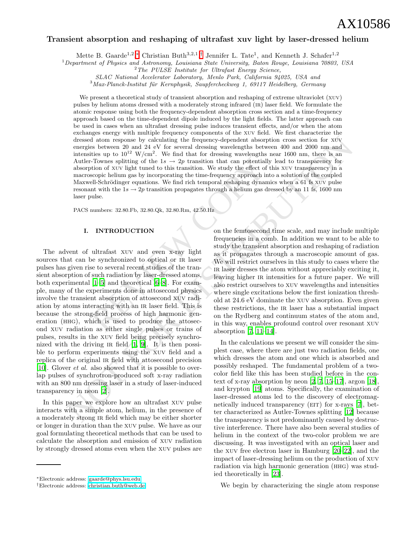# Transient absorption and reshaping of ultrafast xuv light by laser-dressed helium

Mette B. Gaarde<sup>1,2</sup>,\* Christian Buth<sup>3,2,1</sup>,<sup>[†](#page-2-1)</sup> Jennifer L. Tate<sup>1</sup>, and Kenneth J. Schafer<sup>1,2</sup>

 $1$ Department of Physics and Astronomy, Louisiana State University, Baton Rouge, Louisiana 70803, USA

SLAC National Accelerator Laboratory, Menlo Park, California 94025, USA and

 $3$ Max-Planck-Institut für Kernphysik, Saupfercheckweg 1, 69117 Heidelberg, Germany

We present a theoretical study of transient absorption and reshaping of extreme ultraviolet (xuv) pulses by helium atoms dressed with a moderately strong infrared (ir) laser field. We formulate the atomic response using both the frequency-dependent absorption cross section and a time-frequency approach based on the time-dependent dipole induced by the light fields. The latter approach can be used in cases when an ultrafast dressing pulse induces transient effects, and/or when the atom exchanges energy with multiple frequency components of the xuv field. We first characterize the dressed atom response by calculating the frequency-dependent absorption cross section for xuv energies between 20 and 24 eV for several dressing wavelengths between 400 and 2000 nm and intensities up to  $10^{12}$  W/cm<sup>2</sup>. We find that for dressing wavelengths near 1600 nm, there is an Autler-Townes splitting of the  $1s \rightarrow 2p$  transition that can potentially lead to transparency for absorption of xuv light tuned to this transition. We study the effect of this xuv transparency in a macroscopic helium gas by incorporating the time-frequency approach into a solution of the coupled Maxwell-Schrödinger equations. We find rich temporal reshaping dynamics when a 61 fs xuv pulse resonant with the  $1s \rightarrow 2p$  transition propagates through a helium gas dressed by an 11 fs, 1600 nm laser pulse.

PACS numbers: 32.80.Fb, 32.80.Qk, 32.80.Rm, 42.50.Hz

#### I. INTRODUCTION

c-Townes splitting of the 1s  $\rightarrow$  2p transition that can potentially<br>tion of xuv light tuned to this transition. We study the effect of the<br>secopic helium gas by incorporating the time-frequency approach into<br>ell-Schrödi decreased atom response by calculating the frequency dependent above<br>yields the stress between 20 and 24 eV for several dressing wavelengths between 400 and 2000 nm and<br>hencelise in to 10<sup>12</sup> Work first during from the de The advent of ultrafast xuv and even x-ray light sources that can be synchronized to optical or IR laser pulses has given rise to several recent studies of the transient absorption of such radiation by laser-dressed atoms, both experimental [1–5] and theoretical [6–8]. For example, many of the experiments done in attosecond physics involve the transient absorption of attosecond xuv radiation by atoms interacting with an ir laser field. This is because the strong-field process of high harmonic generation (hhg), which is used to produce the attosecond xuv radiation as either single pulses or trains of pulses, results in the xuv field being precisely synchronized with the driving  $IR$  field  $[1, 9]$ . It is then possible to perform experiments using the xuv field and a replica of the original ir field with attosecond precision [\[10\]](#page-13-5). Glover et al. also showed that it is possible to overlap pulses of synchrotron-produced soft x-ray radiation with an 800 nm dressing laser in a study of laser-induced transparency in neon [2].

In this paper we explore how an ultrafast xuv pulse interacts with a simple atom, helium, in the presence of a moderately strong ir field which may be either shorter or longer in duration than the xuv pulse. We have as our goal formulating theoretical methods that can be used to calculate the absorption and emission of xuv radiation by strongly dressed atoms even when the xuv pulses are

on the femtosecond time scale, and may include multiple frequencies in a comb. In addition we want to be able to study the transient absorption and reshaping of radiation as it propagates through a macroscopic amount of gas. We will restrict ourselves in this study to cases where the ir laser dresses the atom without appreciably exciting it, leaving higher IR intensities for a future paper. We will also restrict ourselves to xuv wavelengths and intensities where single excitations below the first ionization threshold at 24.6 eV dominate the xuv absorption. Even given these restrictions, the IR laser has a substantial impact on the Rydberg and continuum states of the atom and, in this way, enables profound control over resonant xuv absorption [7, 11–14].

In the calculations we present we will consider the simplest case, where there are just two radiation fields, one which dresses the atom and one which is absorbed and possibly reshaped. The fundamental problem of a twocolor field like this has been studied before in the context of x-ray absorption by neon  $[2, 7, 15-17]$ , argon  $[18]$ , and krypton [19] atoms. Specifically, the examination of laser-dressed atoms led to the discovery of electromag-netically induced transparency (EIT) for x-rays [\[7](#page-13-7)], better characterized as Autler-Townes splitting [12] because the transparency is not predominantly caused by destructive interference. There have also been several studies of helium in the context of the two-color problem we are discussing. It was investigated with an optical laser and the xuv free electron laser in Hamburg [\[20](#page-14-2)[–22\]](#page-14-3), and the impact of laser-dressing helium on the production of xuv radiation via high harmonic generation (hhg) was studied theoretically in [\[23\]](#page-14-4).

We begin by characterizing the single atom response

<sup>&</sup>lt;sup>2</sup>The PULSE Institute for Ultrafast Energy Science,

<span id="page-2-0"></span><sup>∗</sup>Electronic address: [gaarde@phys.lsu.edu](mailto:gaarde@phys.lsu.edu)

<span id="page-2-1"></span><sup>†</sup>Electronic address: [christian.buth@web.de](mailto:christian.buth@web.de)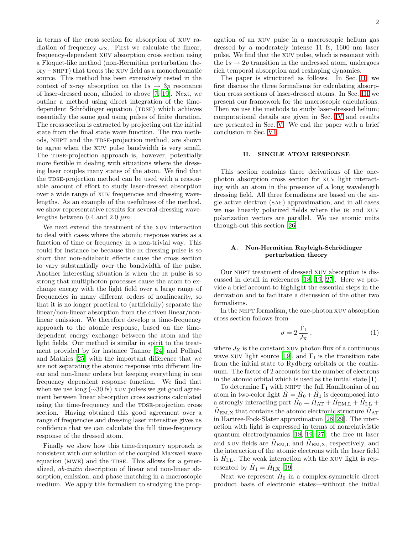in terms of the cross section for absorption of xuv radiation of frequency  $\omega_X$ . First we calculate the linear, frequency-dependent xuv absorption cross section using a Floquet-like method (non-Hermitian perturbation the- $\alpha$  – NHPT) that treats the XUV field as a monochromatic source. This method has been extensively tested in the context of x-ray absorption on the  $1s \rightarrow 3p$  resonance of laser-dressed neon, alluded to above [\[7](#page-13-7), [19](#page-14-1)]. Next, we outline a method using direct integration of the timedependent Schrödinger equation (TDSE) which achieves essentially the same goal using pulses of finite duration. The cross section is extracted by projecting out the initial state from the final state wave function. The two methods, NHPT and the TDSE-projection method, are shown to agree when the xuv pulse bandwidth is very small. The TDSE-projection approach is, however, potentially more flexible in dealing with situations where the dressing laser couples many states of the atom. We find that the TDSE-projection method can be used with a reasonable amount of effort to study laser-dressed absorption over a wide range of xuv frequencies and dressing wavelengths. As an example of the usefulness of the method, we show representative results for several dressing wavelengths between 0.4 and 2.0  $\mu$ m.

We next extend the treatment of the xuv interaction to deal with cases where the atomic response varies as a function of time or frequency in a non-trivial way. This could for instance be because the ir dressing pulse is so short that non-adiabatic effects cause the cross section to vary substantially over the bandwidth of the pulse. Another interesting situation is when the IR pulse is so strong that multiphoton processes cause the atom to exchange energy with the light field over a large range of frequencies in many different orders of nonlinearity, so that it is no longer practical to (artificially) separate the linear/non-linear absorption from the driven linear/nonlinear emission. We therefore develop a time-frequency approach to the atomic response, based on the timedependent energy exchange between the atom and the light fields. Our method is similar in spirit to the treatment provided by for instance Tannor [\[24\]](#page-14-5) and Pollard and Mathies [\[25](#page-14-6)] with the important difference that we are not separating the atomic response into different linear and non-linear orders but keeping everything in one frequency dependent response function. We find that when we use long ( $\sim$ 30 fs) xuv pulses we get good agreement between linear absorption cross sections calculated using the time-frequency and the TDSE-projection cross section. Having obtained this good agreement over a range of frequencies and dressing laser intensities gives us confidence that we can calculate the full time-frequency response of the dressed atom.

Finally we show how this time-frequency approach is consistent with our solution of the coupled Maxwell wave equation (MWE) and the TDSE. This allows for a generalized, ab-initio description of linear and non-linear absorption, emission, and phase matching in a macroscopic medium. We apply this formalism to studying the propagation of an xuv pulse in a macroscopic helium gas dressed by a moderately intense 11 fs, 1600 nm laser pulse. We find that the xuv pulse, which is resonant with the  $1s \rightarrow 2p$  transition in the undressed atom, undergoes rich temporal absorption and reshaping dynamics.

The paper is structured as follows. In Sec. [II,](#page-3-0) we first discuss the three formalisms for calculating absorption cross sections of laser-dressed atoms. In Sec. [III](#page-6-0) we present our framework for the macroscopic calculations. Then we use the methods to study laser-dressed helium; computational details are given in Sec. [IV](#page-7-0) and results are presented in Sec. [V.](#page-8-0) We end the paper with a brief conclusion in Sec. [VI.](#page-12-0)

#### II. SINGLE ATOM RESPONSE

<span id="page-3-0"></span>This section contains three derivations of the onephoton absorption cross section for xuv light interacting with an atom in the presence of a long wavelength dressing field. All three formalisms are based on the single active electron (sae) approximation, and in all cases we use linearly polarized fields where the IR and XUV polarization vectors are parallel. We use atomic units through-out this section [\[26\]](#page-14-7).

# A. Non-Hermitian Rayleigh-Schrödinger perturbation theory

<span id="page-3-2"></span>Our nhpt treatment of dressed xuv absorption is discussed in detail in references [\[18](#page-14-0), [19,](#page-14-1) [27\]](#page-14-8). Here we provide a brief account to highlight the essential steps in the derivation and to facilitate a discussion of the other two formalisms.

In the NHPT formalism, the one-photon XUV absorption cross section follows from

$$
\sigma = 2 \frac{\Gamma_{\rm I}}{J_{\rm X}} \,, \tag{1}
$$

<span id="page-3-1"></span>where  $J_X$  is the constant XUV photon flux of a continuous wave XUV light source [\[19](#page-14-1)], and  $\Gamma_I$  is the transition rate from the initial state to Rydberg orbitals or the continuum. The factor of 2 accounts for the number of electrons in the atomic orbital which is used as the initial state  $|I\rangle$ .

To determine  $\Gamma_I$  with NHPT the full Hamiltonian of an atom in two-color light  $\hat{H} = \hat{H}_0 + \hat{H}_1$  is decomposed into a strongly interacting part  $\hat{H}_0 = \hat{H}_{\text{AT}} + \hat{H}_{\text{EM,L}} + \hat{H}_{\text{I,L}} +$  $\hat{H}_{\text{EM,X}}$  that contains the atomic electronic structure  $\hat{H}_{\text{AT}}$ in Hartree-Fock-Slater approximation [\[28](#page-14-9), [29](#page-14-10)]. The interaction with light is expressed in terms of nonrelativistic quantum electrodynamics [\[18,](#page-14-0) [19,](#page-14-1) [27\]](#page-14-8); the free IR laser and XUV fields are  $H_{EM,L}$  and  $H_{EM,X}$ , respectively, and the interaction of the atomic electrons with the laser field is  $\hat{H}_{\text{I},\text{L}}$ . The weak interaction with the xuv light is represented by  $\hat{H}_1 = \hat{H}_{\text{I},\text{X}}$  [\[19](#page-14-1)].

Next we represent  $\hat{H}_0$  in a complex-symmetric direct product basis of electronic states—without the initial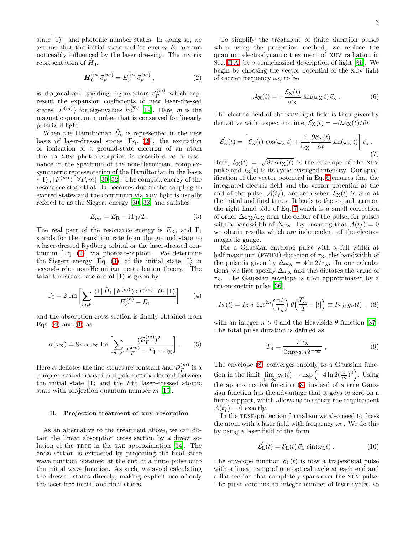state  $|I\rangle$ —and photonic number states. In doing so, we assume that the initial state and its energy  $E_I$  are not noticeably influenced by the laser dressing. The matrix representation of  $\hat{H}_0$ ,

$$
\mathbf{H}_0^{(m)} \vec{c}_F^{(m)} = E_F^{(m)} \vec{c}_F^{(m)}, \qquad (2)
$$

<span id="page-4-0"></span>is diagonalized, yielding eigenvectors  $\vec{c}_F^{(m)}$  which represent the expansion coefficients of new laser-dressed states  $|F^{(m)}\rangle$  for eigenvalues  $E_F^{(m)}$  $\int_F^{(m)}$  [\[19\]](#page-14-1). Here, m is the magnetic quantum number that is conserved for linearly polarized light.

When the Hamiltonian  $\hat{H}_0$  is represented in the new basis of laser-dressed states [Eq. [\(2\)](#page-4-0)], the excitation or ionization of a ground-state electron of an atom due to xuv photoabsorption is described as a resonance in the spectrum of the non-Hermitian, complexsymmetric representation of the Hamiltonian in the basis  $\{|1\rangle, |F^{(m)}\rangle | \forall F, m\}$  [\[30](#page-14-11)[–32](#page-14-12)]. The complex energy of the resonance state that  $|I\rangle$  becomes due to the coupling to excited states and the continuum via xuv light is usually refered to as the Siegert energy [\[30,](#page-14-11) [33\]](#page-14-13) and satisfies

$$
E_{\rm res} = E_{\rm R} - i \Gamma_{\rm I} / 2 \,. \tag{3}
$$

<span id="page-4-1"></span>The real part of the resonance energy is  $E_{\rm R}$ , and  $\Gamma_{\rm I}$ stands for the transition rate from the ground state to a laser-dressed Rydberg orbital or the laser-dressed continuum [Eq. [\(2\)](#page-4-0)] via photoabsorption. We determine the Siegert energy  $|Eq. (3)|$  $|Eq. (3)|$  $|Eq. (3)|$  of the initial state  $|I\rangle$  in second-order non-Hermitian perturbation theory. The total transition rate out of  $|I\rangle$  is given by

$$
\Gamma_{\rm I} = 2 \operatorname{Im} \left[ \sum_{m,F} \frac{\langle \mathbf{I} | \hat{H}_1 | F^{(m)} \rangle \langle F^{(m)} | \hat{H}_1 | \mathbf{I} \rangle}{E_F^{(m)} - E_{\rm I}} \right] \tag{4}
$$

<span id="page-4-2"></span>and the absorption cross section is finally obtained from Eqs.  $(4)$  and  $(1)$  as:

$$
\sigma(\omega_X) = 8\pi \,\alpha \,\omega_X \,\operatorname{Im} \left[ \sum_{m,F} \frac{(\mathcal{D}_F^{(m)})^2}{E_F^{(m)} - E_I - \omega_X} \right]. \tag{5}
$$

Here  $\alpha$  denotes the fine-structure constant and  $\mathcal{D}_F^{(m)}$  $\int_F^{(m)}$  is a complex-scaled transition dipole matrix element between the initial state  $|I\rangle$  and the Fth laser-dressed atomic state with projection quantum number  $m$  [\[19\]](#page-14-1).

#### B. Projection treatment of xuv absorption

<span id="page-4-6"></span>As an alternative to the treatment above, we can obtain the linear absorption cross section by a direct so-lution of the TDSE in the SAE approximation [\[34\]](#page-14-14). The cross section is extracted by projecting the final state wave function obtained at the end of a finite pulse onto the initial wave function. As such, we avoid calculating the dressed states directly, making explicit use of only the laser-free initial and final states.

To simplify the treatment of finite duration pulses when using the projection method, we replace the quantum electrodynamic treatment of xuv radiation in Sec. [II A,](#page-3-2) by a semiclassical description of light [\[35](#page-14-15)]. We begin by choosing the vector potential of the xuv light of carrier frequency  $\omega_X$  to be

$$
\vec{\mathcal{A}}_{\mathbf{X}}(t) = -\frac{\mathcal{E}_{\mathbf{X}}(t)}{\omega_{\mathbf{X}}} \sin(\omega_{\mathbf{X}} t) \, \vec{e}_{\mathbf{x}} \,. \tag{6}
$$

<span id="page-4-3"></span>The electric field of the xuv light field is then given by derivative with respect to time,  $\vec{\mathcal{E}}_{\mathbf{X}}(t) = -\partial \vec{\mathcal{A}}_{\mathbf{X}}(t)/\partial t$ :

$$
\vec{\mathcal{E}}_{\mathbf{X}}(t) = \left[ \mathcal{E}_{\mathbf{X}}(t) \, \cos(\omega_{\mathbf{X}} \, t) + \frac{1}{\omega_{\mathbf{X}}} \frac{\partial \mathcal{E}_{\mathbf{X}}(t)}{\partial t} \sin(\omega_{\mathbf{X}} \, t) \right] \vec{e}_{\mathbf{x}} \tag{7}
$$

<span id="page-4-4"></span>Here,  $\mathcal{E}_X(t) = \sqrt{8\pi\alpha I_X(t)}$  is the envelope of the xuv pulse and  $I_X(t)$  is its cycle-averaged intensity. Our specification of the vector potential in Eq. [6](#page-4-3) ensures that the integrated electric field and the vector potential at the end of the pulse,  $\mathcal{A}(t_f)$ , are zero when  $\mathcal{E}_X(t)$  is zero at the initial and final times. It leads to the second term on the right hand side of Eq. [7](#page-4-4) which is a small correction of order  $\Delta\omega_X/\omega_X$  near the center of the pulse, for pulses with a bandwidth of  $\Delta \omega_X$ . By ensuring that  $\mathcal{A}(t_f) = 0$ we obtain results which are independent of the electromagnetic gauge.

For a Gaussian envelope pulse with a full width at half maximum (FWHM) duration of  $\tau_X$ , the bandwidth of the pulse is given by  $\Delta \omega_X = 4 \ln 2/\tau_X$ . In our calculations, we first specify  $\Delta \omega_X$  and this dictates the value of  $\tau_X$ . The Gaussian envelope is then approximated by a trigonometric pulse [\[36](#page-14-16)]:

$$
I_{\rm X}(t) = I_{\rm X,0} \cos^{2n} \left( \frac{\pi t}{T_n} \right) \theta \left( \frac{T_n}{2} - |t| \right) \equiv I_{\rm X,0} \, g_n(t) \;, \; (8)
$$

<span id="page-4-5"></span>with an integer  $n > 0$  and the Heaviside  $\theta$  function [\[37\]](#page-14-17). The total pulse duration is defined as

$$
T_n = \frac{\pi \,\tau_X}{2\arccos 2^{-\frac{1}{2n}}},\tag{9}
$$

<span id="page-4-7"></span>The envelope [\(8\)](#page-4-5) converges rapidly to a Gaussian function in the limit  $\lim_{n \to \infty} g_n(t) \to \exp\left(-4 \ln 2(\frac{t}{\tau_X})^2\right)$ . Using the approximative function [\(8\)](#page-4-5) instead of a true Gaussian function has the advantage that it goes to zero on a finite support, which allows us to satisfy the requirement  $\mathcal{A}(t_f) = 0$  exactly.

In the TDSE-projection formalism we also need to dress the atom with a laser field with frequency  $\omega_L$ . We do this by using a laser field of the form

$$
\vec{\mathcal{E}}_{\mathcal{L}}(t) = \mathcal{E}_{\mathcal{L}}(t) \, \vec{e}_{\mathcal{L}} \, \sin(\omega_{\mathcal{L}} t) \,. \tag{10}
$$

The envelope function  $\mathcal{E}_{L}(t)$  is now a trapezoidal pulse with a linear ramp of one optical cycle at each end and a flat section that completely spans over the xuv pulse. The pulse contains an integer number of laser cycles, so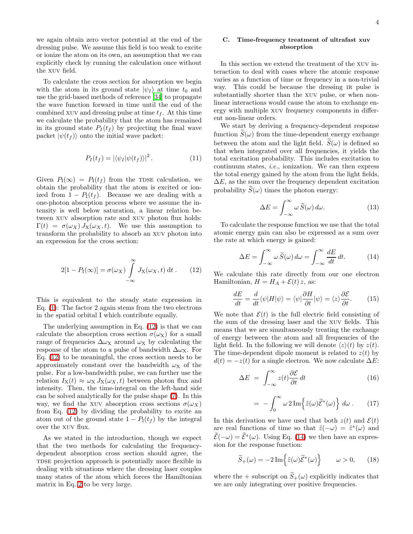we again obtain zero vector potential at the end of the dressing pulse. We assume this field is too weak to excite or ionize the atom on its own, an assumption that we can explicitly check by running the calculation once without the xuv field.

To calculate the cross section for absorption we begin with the atom in its ground state  $|\psi_I\rangle$  at time  $t_0$  and use the grid-based methods of reference [\[34\]](#page-14-14) to propagate the wave function forward in time until the end of the combined xuv and dressing pulse at time  $t_f$ . At this time we calculate the probability that the atom has remained in its ground state  $P_I(t_f)$  by projecting the final wave packet  $|\psi(t_f)\rangle$  onto the initial wave packet:

$$
P_I(t_f) = |\langle \psi_I | \psi(t_f) \rangle|^2.
$$
 (11)

Given  $P_1(\infty) = P_1(t_f)$  from the TDSE calculation, we obtain the probability that the atom is excited or ionized from  $1 - P_1(t_f)$ . Because we are dealing with a one-photon absorption process where we assume the intensity is well below saturation, a linear relation between xuv absorption rate and xuv photon flux holds:  $\Gamma(t) = \sigma(\omega_X) J_X(\omega_X, t)$ . We use this assumption to transform the probability to absorb an xuv photon into an expression for the cross section:

$$
2[1 - P_1(\infty)] = \sigma(\omega_X) \int_{-\infty}^{\infty} J_X(\omega_X, t) dt . \qquad (12)
$$

<span id="page-5-0"></span>This is equivalent to the steady state expression in Eq. [\(1\)](#page-3-1): The factor 2 again stems from the two electrons in the spatial orbital I which contribute equally.

The underlying assumption in Eq. [\(12\)](#page-5-0) is that we can calculate the absorption cross section  $\sigma(\omega_X)$  for a small range of frequencies  $\Delta \omega_X$  around  $\omega_X$  by calculating the response of the atom to a pulse of bandwidth  $\Delta\omega_X$ . For Eq. [\(12\)](#page-5-0) to be meaningful, the cross section needs to be approximately constant over the bandwidth  $\omega_X$  of the pulse. For a low-bandwidth pulse, we can further use the relation  $I_X(t) \approx \omega_X J_X(\omega_X, t)$  between photon flux and intensity. Then, the time-integral on the left-hand side can be solved analytically for the pulse shape [\(7\)](#page-4-4). In this way, we find the xuv absorption cross sections  $\sigma(\omega_X)$ from Eq. [\(12\)](#page-5-0) by dividing the probability to excite an atom out of the ground state  $1 - P_I(t_f)$  by the integral over the xuv flux.

As we stated in the introduction, though we expect that the two methods for calculating the frequencydependent absorption cross section should agree, the TDSE projection approach is potentially more flexible in dealing with situations where the dressing laser couples many states of the atom which forces the Hamiltonian matrix in Eq. [2](#page-4-0) to be very large.

## C. Time-frequency treatment of ultrafast xuv absorption

<span id="page-5-3"></span>In this section we extend the treatment of the xuv interaction to deal with cases where the atomic response varies as a function of time or frequency in a non-trivial way. This could be because the dressing IR pulse is substantially shorter than the xuv pulse, or when nonlinear interactions would cause the atom to exchange energy with multiple xuv frequency components in different non-linear orders.

We start by deriving a frequency-dependent response function  $S(\omega)$  from the time-dependent energy exchange between the atom and the light field.  $S(\omega)$  is defined so that when integrated over all frequencies, it yields the total excitation probability. This includes excitation to continuum states, i.e., ionization. We can then express the total energy gained by the atom from the light fields,  $\Delta E$ , as the sum over the frequency dependent excitation probability  $S(\omega)$  times the photon energy:

$$
\Delta E = \int_{-\infty}^{\infty} \omega \, \widetilde{S}(\omega) \, d\omega. \tag{13}
$$

To calculate the response function we use that the total atomic energy gain can also be expressed as a sum over the rate at which energy is gained:

$$
\Delta E = \int_{-\infty}^{\infty} \omega \, \widetilde{S}(\omega) \, d\omega = \int_{-\infty}^{\infty} \frac{dE}{dt} \, dt. \tag{14}
$$

<span id="page-5-1"></span>We calculate this rate directly from our one electron Hamiltonian,  $H = H_A + \mathcal{E}(t) z$ , as:

$$
\frac{dE}{dt} = \frac{d}{dt}\langle\psi|H|\psi\rangle = \langle\psi|\frac{\partial H}{\partial t}|\psi\rangle = \langle z\rangle\frac{\partial \mathcal{E}}{\partial t}.\tag{15}
$$

We note that  $\mathcal{E}(t)$  is the full electric field consisting of the sum of the dressing laser and the xuv fields. This means that we are simultaneously treating the exchange of energy between the atom and all frequencies of the light field. In the following we will denote  $\langle z \rangle(t)$  by  $z(t)$ . The time-dependent dipole moment is related to  $z(t)$  by  $d(t) = -z(t)$  for a single electron. We now calculate  $\Delta E$ :

$$
\Delta E = \int_{-\infty}^{\infty} z(t) \frac{\partial \mathcal{E}}{\partial t} dt
$$
 (16)

$$
= -\int_0^\infty \omega \, 2 \, \text{Im} \Big\{ \tilde{z}(\omega) \widetilde{\mathcal{E}}^*(\omega) \Big\} \, d\omega \,. \tag{17}
$$

In this derivation we have used that both  $z(t)$  and  $\mathcal{E}(t)$ are real functions of time so that  $\tilde{z}(-\omega) = \tilde{z}^*(\omega)$  and  $\widetilde{\mathcal{E}}(-\omega) = \widetilde{\mathcal{E}}^*(\omega)$ . Using Eq. [\(14\)](#page-5-1) we then have an expression for the response function:

$$
\widetilde{S}_+(\omega) = -2\operatorname{Im}\left\{\widetilde{z}(\omega)\widetilde{\mathcal{E}}^*(\omega)\right\} \qquad \omega > 0,\qquad(18)
$$

<span id="page-5-2"></span>where the + subscript on  $\widetilde{S}_+(\omega)$  explicitly indicates that we are only integrating over positive frequencies.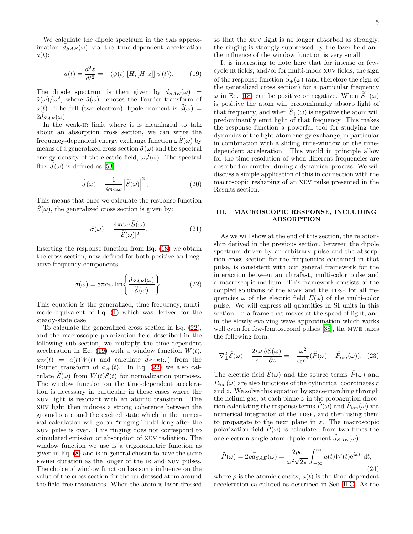We calculate the dipole spectrum in the SAE approximation  $\tilde{d}_{SAE}(\omega)$  via the time-dependent acceleration  $a(t)$ :

$$
a(t) = \frac{d^2z}{dt^2} = -\langle \psi(t) | [H, [H, z]] | \psi(t) \rangle, \qquad (19)
$$

<span id="page-6-2"></span>The dipole spectrum is then given by  $\tilde{d}_{SAE}(\omega)$  =  $\tilde{a}(\omega)/\omega^2$ , where  $\tilde{a}(\omega)$  denotes the Fourier transform of  $a(t)$ . The full (two-electron) dipole moment is  $\tilde{d}(\omega)$  =  $2 \tilde{d}_{SAE}(\omega).$ 

In the weak-IR limit where it is meaningful to talk about an absorption cross section, we can write the frequency-dependent energy exchange function  $\omega S(\omega)$  by means of a generalized cross section  $\tilde{\sigma}(\omega)$  and the spectral energy density of the electric field,  $\omega \tilde{J}(\omega)$ . The spectral flux  $\tilde{J}(\omega)$  is defined as [\[53](#page-14-18)]:

$$
\widetilde{J}(\omega) = \frac{1}{4\pi\alpha\omega} \left| \widetilde{\mathcal{E}}(\omega) \right|^2, \tag{20}
$$

This means that once we calculate the response function  $S(\omega)$ , the generalized cross section is given by:

$$
\tilde{\sigma}(\omega) = \frac{4\pi\alpha\omega \,\tilde{S}(\omega)}{|\tilde{\mathcal{E}}(\omega)|^2}.\tag{21}
$$

Inserting the response function from Eq. [\(18\)](#page-5-2) we obtain the cross section, now defined for both positive and negative frequency components:

$$
\sigma(\omega) = 8\pi\alpha\omega \operatorname{Im}\left\{\frac{\tilde{d}_{SAE}(\omega)}{\tilde{\mathcal{E}}(\omega)}\right\}.
$$
 (22)

<span id="page-6-1"></span>This equation is the generalized, time-frequency, multimode equivalent of Eq. [\(1\)](#page-3-1) which was derived for the steady-state case.

To calculate the generalized cross section in Eq. [\(22\)](#page-6-1), and the macroscopic polarization field described in the following sub-section, we multiply the time-dependent acceleration in Eq. [\(19\)](#page-6-2) with a window function  $W(t)$ ,  $a_W(t) = a(t)W(t)$  and calculate  $\tilde{d}_{SAE}(\omega)$  from the Fourier transform of  $a_W(t)$ . In Eq. [\(22\)](#page-6-1) we also calculate  $\widetilde{\mathcal{E}}(\omega)$  from  $W(t)\mathcal{E}(t)$  for normalization purposes. The window function on the time-dependent acceleration is necessary in particular in those cases where the xuv light is resonant with an atomic transition. The xuv light then induces a strong coherence between the ground state and the excited state which in the numerical calculation will go on "ringing" until long after the xuv pulse is over. This ringing does not correspond to stimulated emission or absorption of xuv radiation. The window function we use is a trigonometric function as given in Eq. [\(8\)](#page-4-5) and is in general chosen to have the same fwhm duration as the longer of the ir and xuv pulses. The choice of window function has some influence on the value of the cross section for the un-dressed atom around the field-free resonances. When the atom is laser-dressed so that the xuv light is no longer absorbed as strongly, the ringing is strongly suppressed by the laser field and the influence of the window function is very small.

It is interesting to note here that for intense or fewcycle ir fields, and/or for multi-mode xuv fields, the sign of the response function  $S_+(\omega)$  (and therefore the sign of the generalized cross section) for a particular frequency  $\omega$  in Eq. [\(18\)](#page-5-2) can be positive or negative. When  $\widetilde{S}_+(\omega)$ is positive the atom will predominantly absorb light of that frequency, and when  $S_+(\omega)$  is negative the atom will predominantly emit light of that frequency. This makes the response function a powerful tool for studying the dynamics of the light-atom energy exchange, in particular in combination with a sliding time-window on the timedependent acceleration. This would in principle allow for the time-resolution of when different frequencies are absorbed or emitted during a dynamical process. We will discuss a simple application of this in connection with the macroscopic reshaping of an xuv pulse presented in the Results section.

# <span id="page-6-0"></span>III. MACROSCOPIC RESPONSE, INCLUDING ABSORPTION

As we will show at the end of this section, the relationship derived in the previous section, between the dipole spectrum driven by an arbitrary pulse and the absorption cross section for the frequencies contained in that pulse, is consistent with our general framework for the interaction between an ultrafast, multi-color pulse and a macroscopic medium. This framework consists of the coupled solutions of the MWE and the TDSE for all frequencies  $\omega$  of the electric field  $E(\omega)$  of the multi-color pulse. We will express all quantities in SI units in this section. In a frame that moves at the speed of light, and in the slowly evolving wave approximation which works well even for few-femtosecond pulses [\[38](#page-14-19)], the mwe takes the following form:

$$
\nabla_{\perp}^{2} \tilde{\mathcal{E}}(\omega) + \frac{2i\omega}{c} \frac{\partial \tilde{\mathcal{E}}(\omega)}{\partial z} = -\frac{\omega^{2}}{\epsilon_{0}c^{2}} (\tilde{P}(\omega) + \tilde{P}_{ion}(\omega)). \tag{23}
$$

<span id="page-6-3"></span>The electric field  $\tilde{\mathcal{E}}(\omega)$  and the source terms  $\tilde{P}(\omega)$  and  $\tilde{P}_{ion}(\omega)$  are also functions of the cylindrical coordinates  $r$ and z. We solve this equation by space-marching through the helium gas, at each plane  $z$  in the propagation direction calculating the response terms  $\tilde{P}(\omega)$  and  $\tilde{P}_{ion}(\omega)$  via numerical integration of the TDSE, and then using them to propagate to the next plane in z. The macroscopic polarization field  $\tilde{P}(\omega)$  is calculated from two times the one-electron single atom dipole moment  $\tilde{d}_{SAE}(\omega)$ :

$$
\tilde{P}(\omega) = 2\rho \tilde{d}_{SAE}(\omega) = \frac{2\rho e}{\omega^2 \sqrt{2\pi}} \int_{-\infty}^{\infty} a(t)W(t)e^{i\omega t} dt,
$$
\n(24)

where  $\rho$  is the atomic density,  $a(t)$  is the time-dependent acceleration calculated as described in Sec. [II C.](#page-5-3) As the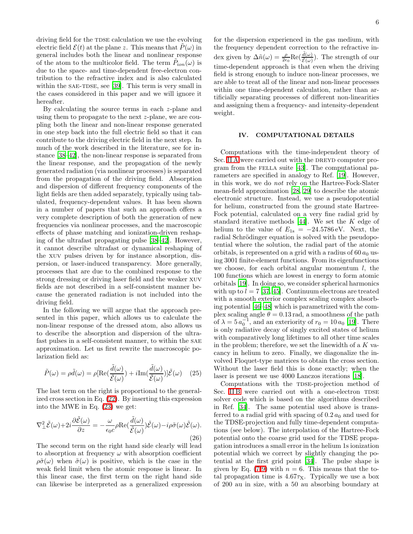driving field for the TDSE calculation we use the evolving electric field  $\mathcal{E}(t)$  at the plane z. This means that  $P(\omega)$  in general includes both the linear and nonlinear response of the atom to the multicolor field. The term  $\tilde{P}_{ion}(\omega)$  is due to the space- and time-dependent free-electron contribution to the refractive index and is also calculated within the SAE-TDSE, see [\[39](#page-14-20)]. This term is very small in the cases considered in this paper and we will ignore it hereafter.

By calculating the source terms in each z-plane and using them to propagate to the next z-plane, we are coupling both the linear and non-linear response generated in one step back into the full electric field so that it can contribute to the driving electric field in the next step. In much of the work described in the literature, see for instance [\[38](#page-14-19)[–42\]](#page-14-21), the non-linear response is separated from the linear response, and the propagation of the newly generated radiation (via nonlinear processes) is separated from the propagation of the driving field. Absorption and dispersion of different frequency components of the light fields are then added separately, typically using tabulated, frequency-dependent values. It has been shown in a number of papers that such an approach offers a very complete description of both the generation of new frequencies via nonlinear processes, and the macroscopic effects of phase matching and ionization-driven reshaping of the ultrafast propagating pulse [\[38](#page-14-19)[–42](#page-14-21)]. However, it cannot describe ultrafast or dynamical reshaping of the xuv pulses driven by for instance absorption, dispersion, or laser-induced transparency. More generally, processes that are due to the combined response to the strong dressing or driving laser field and the weaker xuv fields are not described in a self-consistent manner because the generated radiation is not included into the driving field.

In the following we will argue that the approach presented in this paper, which allows us to calculate the non-linear response of the dressed atom, also allows us to describe the absorption and dispersion of the ultrafast pulses in a self-consistent manner, to within the sae approximation. Let us first rewrite the macroscopic polarization field as:

$$
\tilde{P}(\omega) = \rho \tilde{d}(\omega) = \rho [\text{Re}(\frac{\tilde{d}(\omega)}{\tilde{\mathcal{E}}(\omega)}) + i \text{Im}(\frac{\tilde{d}(\omega)}{\tilde{\mathcal{E}}(\omega)})] \tilde{\mathcal{E}}(\omega) \quad (25)
$$

The last term on the right is proportional to the generalized cross section in Eq. [\(22\)](#page-6-1). By inserting this expression into the MWE in Eq. [\(23\)](#page-6-3) we get:

$$
\nabla_{\perp}^{2} \tilde{\mathcal{E}}(\omega) + 2i \frac{\partial \tilde{\mathcal{E}}(\omega)}{\partial z} = -\frac{\omega}{\epsilon_{0} c} \rho \text{Re}(\frac{\tilde{d}(\omega)}{\tilde{\mathcal{E}}(\omega)}) \tilde{\mathcal{E}}(\omega) - i \rho \tilde{\sigma}(\omega) \tilde{\mathcal{E}}(\omega). \tag{26}
$$

The second term on the right hand side clearly will lead to absorption at frequency  $\omega$  with absorption coefficient  $\rho\tilde{\sigma}(\omega)$  when  $\tilde{\sigma}(\omega)$  is positive, which is the case in the weak field limit when the atomic response is linear. In this linear case, the first term on the right hand side can likewise be interpreted as a generalized expression

for the dispersion experienced in the gas medium, with the frequency dependent correction to the refractive index given by  $\Delta \tilde{n}(\omega) = \frac{\rho}{2\epsilon_0} \text{Re}(\frac{\tilde{d}(\omega)}{\tilde{\varepsilon}(\omega)})$ . The strength of our time-dependent approach is that even when the driving field is strong enough to induce non-linear processes, we are able to treat all of the linear and non-linear processes within one time-dependent calculation, rather than artificially separating processes of different non-linearities and assigning them a frequency- and intensity-dependent weight.

#### IV. COMPUTATIONAL DETAILS

<span id="page-7-0"></span>Computations with the time-independent theory of Sec. [II A](#page-3-2) were carried out with the DREYD computer program from the FELLA suite  $[43]$ . The computational parameters are specified in analogy to Ref. [\[19\]](#page-14-1). However, in this work, we do not rely on the Hartree-Fock-Slater mean-field approximation [\[28,](#page-14-9) [29\]](#page-14-10) to describe the atomic electronic structure. Instead, we use a pseudopotential for helium, constructed from the ground state Hartree-Fock potential, calculated on a very fine radial grid by standard iterative methods  $[44]$ . We set the K edge of helium to the value of  $E_{1s} = -24.5786 \text{ eV}$ . Next, the radial Schrödinger equation is solved with the pseudopotential where the solution, the radial part of the atomic orbitals, is represented on a grid with a radius of  $60 a_0$  using 3001 finite-element functions. From its eigenfunctions we choose, for each orbital angular momentum  $l$ , the 100 functions which are lowest in energy to form atomic orbitals [\[19\]](#page-14-1). In doing so, we consider spherical harmonics with up to  $l = 7$  [\[37,](#page-14-17) [45\]](#page-14-24). Continuum electrons are treated with a smooth exterior complex scaling complex absorbing potential [\[46](#page-14-25)[–48\]](#page-14-26) which is parametrized with the complex scaling angle  $\theta = 0.13$  rad, a smoothness of the path of  $\lambda = 5 a_0^{-1}$ , and an exteriority of  $r_0 = 10 a_0$  [\[19\]](#page-14-1). There is only radiative decay of singly excited states of helium with comparatively long lifetimes to all other time scales in the problem; therefore, we set the linewidth of a  $K$  vacancy in helium to zero. Finally, we diagonalize the involved Floquet-type matrices to obtain the cross section. Without the laser field this is done exactly; when the laser is present we use 4000 Lanczos iterations [\[18](#page-14-0)].

Computations with the TDSE-projection method of Sec. IIB were carried out with a one-electron TDSE solver code which is based on the algorithms described in Ref. [\[34](#page-14-14)]. The same potential used above is transferred to a radial grid with spacing of  $0.2 a_0$  and used for the TDSE-projection and fully time-dependent computations (see below). The interpolation of the Hartree-Fock potential onto the coarse grid used for the TDSE propagation introduces a small error in the helium 1s ionization potential which we correct by slightly changing the potential at the first grid point [\[34\]](#page-14-14). The pulse shape is given by Eq. [\(7-](#page-4-4)[9\)](#page-4-7) with  $n = 6$ . This means that the total propagation time is  $4.67\tau_X$ . Typically we use a box of 200 au in size, with a 50 au absorbing boundary at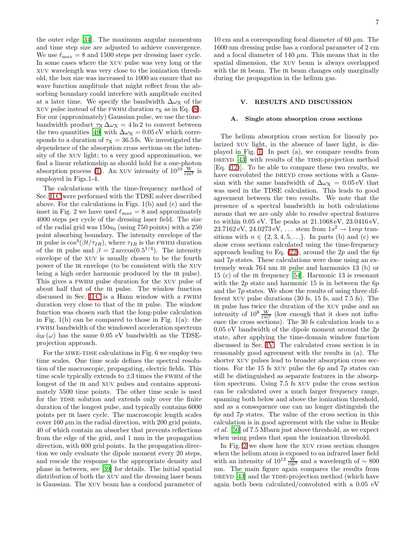the outer edge [\[34](#page-14-14)]. The maximum angular momentum and time step size are adjusted to achieve convergence. We use  $\ell_{\text{max}} = 8$  and 1500 steps per dressing laser cycle. In some cases where the xuv pulse was very long or the xuv wavelength was very close to the ionization threshold, the box size was increased to 1000 au ensure that no wave function amplitude that might reflect from the absorbing boundary could interfere with amplitude excited at a later time. We specify the bandwidth  $\Delta\omega_X$  of the XUV pulse instead of the FWHM duration  $\tau_X$  as in Eq. [\(8\)](#page-4-5). For our (approximately) Gaussian pulse, we use the timebandwidth product  $\tau_X \Delta \omega_X = 4 \ln 2$  to convert between the two quantities [\[49](#page-14-27)] with  $\Delta \omega_X = 0.05 \text{ eV}$  which corresponds to a duration of  $\tau_X = 36.5$  fs. We investigated the dependence of the absorption cross sections on the intensity of the xuv light; to a very good approximation, we find a linear relationship as should hold for a one-photon absorption process [\(1\)](#page-3-1). An xuv intensity of  $10^{10} \frac{W}{cm^2}$  is employed in Figs.1-4.

The calculations with the time-frequency method of Sec. [II C](#page-5-3) were performed with the TDSE solver described above. For the calculations in Figs. 1(b) and (c) and the inset in Fig. 2 we have used  $\ell_{\text{max}} = 8$  and approximately 4000 steps per cycle of the dressing laser field. The size of the radial grid was  $150a_0$  (using 750 points) with a 250 point absorbing boundary. The intensity envelope of the IR pulse is  $\cos^4(\beta t/\tau_{IR})$ , where  $\tau_{IR}$  is the FWHM duration of the intensity of the intensity  $\beta = 2 \arccos(0.5^{1/4})$ . The intensity envelope of the xuv is usually chosen to be the fourth power of the ir envelope (to be consistent with the xuv being a high order harmonic produced by the IR pulse). This gives a fwhm pulse duration for the xuv pulse of about half that of the ir pulse. The window function discussed in Sec. [II C](#page-5-3) is a Hann window with a FWHM duration very close to that of the IR pulse. The window function was chosen such that the long-pulse calculation in Fig. 1(b) can be compared to those in Fig. 1(a): the fwhm bandwidth of the windowed acceleration spectrum  $\tilde{a}_W(\omega)$  has the same 0.05 eV bandwidth as the TDSEprojection approach.

For the MWE-TDSE calculations in Fig. 6 we employ two time scales. One time scale defines the spectral resolution of the macroscopic, propagating, electric fields. This time scale typically extends to  $\pm 3$  times the FWHM of the longest of the IR and XUV pulses and contains approximately 5500 time points. The other time scale is used for the TDSE solution and extends only over the finite duration of the longest pulse, and typically contains 6000 points per ir laser cycle. The macroscopic length scales cover 160  $\mu$ m in the radial direction, with 200 grid points, 40 of which contain an absorber that prevents reflections from the edge of the grid, and 1 mm in the propagation direction, with 600 grid points. In the propagation direction we only evaluate the dipole moment every 20 steps, and rescale the response to the appropriate density and phase in between, see [\[39\]](#page-14-20) for details. The initial spatial distribution of both the xuv and the dressing laser beam is Gaussian. The xuv beam has a confocal parameter of

10 cm and a corresponding focal diameter of 60  $\mu$ m. The 1600 nm dressing pulse has a confocal parameter of 2 cm and a focal diameter of 140  $\mu$ m. This means that in the spatial dimension, the xuv beam is always overlapped with the IR beam. The IR beam changes only marginally during the propagation in the helium gas.

# V. RESULTS AND DISCUSSION

#### A. Single atom absorption cross sections

<span id="page-8-0"></span>The helium absorption cross section for linearly polarized xuv light, in the absence of laser light, is displayed in Fig. [1.](#page-9-0) In part (a), we compare results from DREYD  $[43]$  with results of the TDSE-projection method [Eq. [\(12\)](#page-5-0)]. To be able to compare these two results, we have convoluted the DREYD cross sections with a Gaussian with the same bandwidth of  $\Delta \omega_X = 0.05 \text{ eV}$  that was used in the TDSE calculation. This leads to good agreement between the two results. We note that the presence of a spectral bandwidth in both calculations means that we are only able to resolve spectral features to within 0.05 eV. The peaks at 21.1068 eV, 23.0416 eV,  $23.7162 \,\text{eV}, 24.0273 \,\text{eV}, \ldots$  stem from  $1s^2 \rightarrow 1snp$  transitions with  $n \in \{2, 3, 4, 5, \ldots\}$ . In parts (b) and (c) we show cross sections calculated using the time-frequency approach leading to Eq.  $(22)$ , around the 2p and the 6p and 7p states. These calculations were done using an extremely weak 764 nm ir pulse and harmonics 13 (b) or 15 (c) of the ir frequency [\[54](#page-14-28)]. Harmonic 13 is resonant with the  $2p$  state and harmonic 15 is in between the  $6p$ and the  $7p$  states. We show the results of using three different xuv pulse durations (30 fs, 15 fs, and 7.5 fs). The ir pulse has twice the duration of the xuv pulse and an intensity of  $10^8 \frac{W}{cm^2}$  (low enough that it does not influence the cross sections). The 30 fs calculation leads to a 0.05 eV bandwidth of the dipole moment around the 2p state, after applying the time-domain window function discussed in Sec. [IV.](#page-7-0) The calculated cross section is in reasonably good agreement with the results in (a). The shorter xuv pulses lead to broader absorption cross sections. For the 15 fs XUV pulse the  $6p$  and  $7p$  states can still be distinguished as separate features in the absorption spectrum. Using 7.5 fs xuv pulse the cross section can be calculated over a much larger frequency range, spanning both below and above the ionization threshold, and as a consequence one can no longer distinguish the  $6p$  and  $7p$  states. The value of the cross section in this calculation is in good agreement with the value in Henke et al. [\[50](#page-14-29)] of 7.5 Mbarn just above threshold, as we expect when using pulses that span the ionization threshold.

In Fig. [2](#page-9-1) we show how the xuv cross section changes when the helium atom is exposed to an infrared laser field with an intensity of 10<sup>12</sup>  $\frac{W}{cm^2}$  and a wavelength of ~ 800 nm. The main figure again compares the results from DREYD  $[43]$  and the TDSE-projection method (which have again both been calculated/convoluted with a 0.05 eV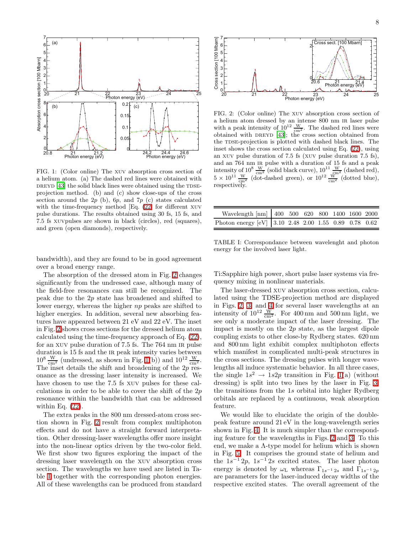

<span id="page-9-0"></span>FIG. 1: (Color online) The xuv absorption cross section of a helium atom. (a) The dashed red lines were obtained with DREYD  $[43]$  $[43]$  the solid black lines were obtained using the TDSEprojection method. (b) and (c) show close-ups of the cross section around the  $2p$  (b),  $6p$ , and  $7p$  (c) states calculated with the time-frequency method [Eq. [\(22\]](#page-6-1) for different xuv pulse durations. The results obtained using 30 fs, 15 fs, and 7.5 fs xuvpulses are shown in black (circles), red (squares), and green (open diamonds), respectively.

bandwidth), and they are found to be in good agreement over a broad energy range.

The absorption of the dressed atom in Fig. [2](#page-9-1) changes significantly from the undressed case, although many of the field-free resonances can still be recognized. The peak due to the 2p state has broadened and shifted to lower energy, whereas the higher np peaks are shifted to higher energies. In addition, several new absorbing features have appeared between 21 eV and 22 eV. The inset in Fig. [2](#page-9-1) shows cross sections for the dressed helium atom calculated using the time-frequency approach of Eq. [\(22\)](#page-6-1), for an XUV pulse duration of 7.5 fs. The 764 nm IR pulse duration is 15 fs and the IR peak intensity varies between  $10^8 \frac{\text{W}}{\text{cm}^2}$  (undressed, as shown in Fig. [1\(](#page-9-0)b)) and  $10^{12} \frac{\text{W}}{\text{cm}^2}$ . The inset details the shift and broadening of the 2p resonance as the dressing laser intensity is increased. We have chosen to use the 7.5 fs xuv pulses for these calculations in order to be able to cover the shift of the 2p resonance within the bandwidth that can be addressed within Eq.  $(22)$ .

The extra peaks in the 800 nm dressed-atom cross section shown in Fig. [2](#page-9-1) result from complex multiphoton effects and do not have a straight forward interpretation. Other dressing-laser wavelengths offer more insight into the non-linear optics driven by the two-color field. We first show two figures exploring the impact of the dressing laser wavelength on the xuv absorption cross section. The wavelengths we have used are listed in Table [I](#page-9-2) together with the corresponding photon energies. All of these wavelengths can be produced from standard



<span id="page-9-1"></span>FIG. 2: (Color online) The xuv absorption cross section of a helium atom dressed by an intense 800 nm ir laser pulse with a peak intensity of  $10^{12} \frac{W}{cm^2}$ . The dashed red lines were obtained with DREYD  $[43]$  $[43]$ ; the cross section obtained from the TDSE-projection is plotted with dashed black lines. The inset shows the cross section calculated using Eq. [\(22\)](#page-6-1), using an xuv pulse duration of 7.5 fs (xuv pulse duration 7.5 fs), and an 764 nm ir pulse with a duration of 15 fs and a peak intensity of  $10^8 \frac{\text{W}}{\text{cm}^2}$  (solid black curve),  $10^{11} \frac{\text{W}}{\text{cm}^2}$  (dashed red),  $5 \times 10^{11} \frac{\text{w}}{\text{cm}^2}$  (dot-dashed green), or  $10^{12} \frac{\text{w}}{\text{cm}^2}$  (dotted blue), respectively.

| Wavelength [nm] 400 500 620 800 1400 1600 2000        |  |  |  |  |
|-------------------------------------------------------|--|--|--|--|
| Photon energy [eV] 3.10 2.48 2.00 1.55 0.89 0.78 0.62 |  |  |  |  |

<span id="page-9-2"></span>TABLE I: Correspondance between wavelenght and photon energy for the involved laser light.

Ti:Sapphire high power, short pulse laser systems via frequency mixing in nonlinear materials.

The laser-dressed xuv absorption cross section, calculated using the TDSE-projection method are displayed in Figs. [2,](#page-9-1) [3,](#page-10-0) and [4](#page-10-1) for several laser wavelengths at an intensity of  $10^{12} \frac{W}{cm^2}$ . For 400 nm and 500 nm light, we see only a moderate impact of the laser dressing. The impact is mostly on the 2p state, as the largest dipole coupling exists to other close-by Rydberg states. 620 nm and 800 nm light exhibit complex multiphoton effects which manifest in complicated multi-peak structures in the cross sections. The dressing pulses with longer wavelengths all induce systematic behavior. In all three cases, the single  $1s^2 \rightarrow 1s2p$  transition in Fig. [1\(](#page-9-0)a) (without dressing) is split into two lines by the laser in Fig. [3;](#page-10-0) the transitions from the 1s orbital into higher Rydberg orbitals are replaced by a continuous, weak absorption feature.

We would like to elucidate the origin of the doublepeak feature around 21 eV in the long-wavelength series shown in Fig. [4.](#page-10-1) It is much simpler than the corresponding feature for the wavelengths in Figs. [2](#page-9-1) and [3.](#page-10-0) To this end, we make a Λ-type model for helium which is shown in Fig. [5.](#page-10-2) It comprises the ground state of helium and the  $1s^{-1}2p$ ,  $1s^{-1}2s$  excited states. The laser photon energy is denoted by  $\omega_L$  whereas  $\Gamma_{1s^{-1}2s}$  and  $\Gamma_{1s^{-1}2p}$ are parameters for the laser-induced decay widths of the respective excited states. The overall agreement of the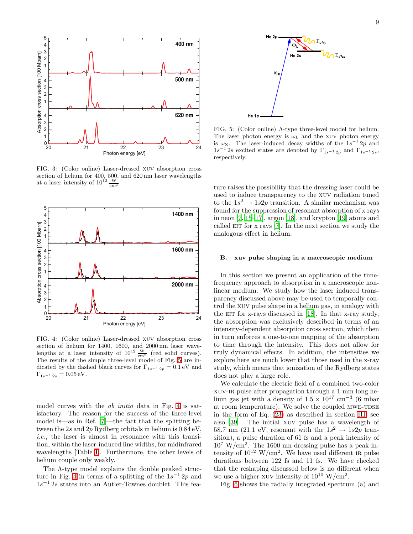



<span id="page-10-0"></span>FIG. 3: (Color online) Laser-dressed xuv absorption cross section of helium for 400, 500, and 620 nm laser wavelengths at a laser intensity of  $10^{12} \frac{W}{cm^2}$ .



<span id="page-10-1"></span>FIG. 4: (Color online) Laser-dressed xuv absorption cross section of helium for 1400, 1600, and 2000 nm laser wave-<br>lengths at a laser intensity of  $10^{12} \frac{W}{cm^2}$  (red solid curves). The results of the simple three-level model of Fig. [5](#page-10-2) are indicated by the dashed black curves for  $\Gamma_{1s^{-1}2p} = 0.1 \text{ eV}$  and  $\Gamma_{1s^{-1} 2s} = 0.05 \,\text{eV}.$ 

model curves with the ab initio data in Fig. [4](#page-10-1) is satisfactory. The reason for the success of the three-level model is—as in Ref. [\[7](#page-13-7)]—the fact that the splitting between the 2s and 2p Rydberg orbitals in helium is 0.84 eV, i.e., the laser is almost in resonance with this transition, within the laser-induced line widths, for midinfrared wavelengths [Table [I\]](#page-9-2). Furthermore, the other levels of helium couple only weakly.

The Λ-type model explains the double peaked struc-ture in Fig. [4](#page-10-1) in terms of a splitting of the  $1s^{-1}$  2p and 1s <sup>−</sup><sup>1</sup> 2s states into an Autler-Townes doublet. This fea-



<span id="page-10-2"></span>FIG. 5: (Color online) Λ-type three-level model for helium. The laser photon energy is  $\omega_{L}$  and the XUV photon energy is  $\omega_X$ . The laser-induced decay widths of the  $1s^{-1}$  2p and  $1s^{-1}$  2s excited states are denoted by  $\Gamma_{1s^{-1}2p}$  and  $\Gamma_{1s^{-1}2s}$ , respectively.

ture raises the possibility that the dressing laser could be used to induce transparency to the xuv radiation tuned to the  $1s^2 \rightarrow 1s2p$  transition. A similar mechanism was found for the suppression of resonant absorption of x rays in neon [\[7](#page-13-7), [15](#page-13-10)[–17\]](#page-13-11), argon [\[18](#page-14-0)], and krypton [\[19](#page-14-1)] atoms and called  $EIT$  for x rays [\[7\]](#page-13-7). In the next section we study the analogous effect in helium.

## B. xuv pulse shaping in a macroscopic medium

In this section we present an application of the timefrequency approach to absorption in a macroscopic nonlinear medium. We study how the laser induced transparency discussed above may be used to temporally control the xuv pulse shape in a helium gas, in analogy with the  $EIT$  for x-rays discussed in [\[18](#page-14-0)]. In that x-ray study, the absorption was exclusively described in terms of an intensity-dependent absorption cross section, which then in turn enforces a one-to-one mapping of the absorption to time through the intensity. This does not allow for truly dynamical effects. In addition, the intensities we explore here are much lower that those used in the x-ray study, which means that ionization of the Rydberg states does not play a large role.

We calculate the electric field of a combined two-color xuv-ir pulse after propagation through a 1 mm long helium gas jet with a density of  $1.5 \times 10^{17}$  cm<sup>-3</sup> (6 mbar at room temperature). We solve the coupled MWE-TDSE in the form of Eq. [\(23\)](#page-6-3) as described in section [III,](#page-6-0) see also [\[39\]](#page-14-20). The initial xuv pulse has a wavelength of 58.7 nm (21.1 eV, resonant with the  $1s^2 \rightarrow 1s2p$  transition), a pulse duration of 61 fs and a peak intensity of  $10^7$  W/cm<sup>2</sup>. The 1600 nm dressing pulse has a peak intensity of  $10^{12}$  W/cm<sup>2</sup>. We have used different IR pulse durations between 122 fs and 11 fs. We have checked that the reshaping discussed below is no different when we use a higher XUV intensity of  $10^{10}$  W/cm<sup>2</sup>.

Fig. [6](#page-11-0) shows the radially integrated spectrum (a) and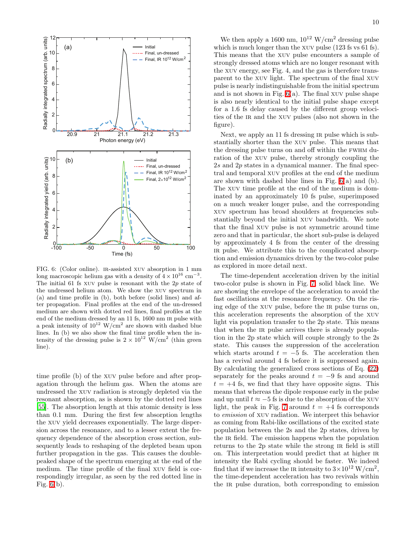

<span id="page-11-0"></span>FIG. 6: (Color online). ir-assisted xuv absorption in 1 mm long macroscopic helium gas with a density of  $4 \times 10^{16}$  cm<sup>-3</sup>. The initial 61 fs xuv pulse is resonant with the 2p state of the undressed helium atom. We show the xuv spectrum in (a) and time profile in (b), both before (solid lines) and after propagation. Final profiles at the end of the un-dressed medium are shown with dotted red lines, final profiles at the end of the medium dressed by an 11 fs, 1600 nm ir pulse with a peak intensity of  $10^{12}$  W/cm<sup>2</sup> are shown with dashed blue lines. In (b) we also show the final time profile when the intensity of the dressing pulse is  $2 \times 10^{12}$  W/cm<sup>2</sup> (thin green line).

time profile (b) of the xuv pulse before and after propagation through the helium gas. When the atoms are undressed the xuv radiation is strongly depleted via the resonant absorption, as is shown by the dotted red lines [\[55\]](#page-14-30). The absorption length at this atomic density is less than 0.1 mm. During the first few absorption lengths the xuv yield decreases exponentially. The large dispersion across the resonance, and to a lesser extent the frequency dependence of the absorption cross section, subsequently leads to reshaping of the depleted beam upon further propagation in the gas. This causes the doublepeaked shape of the spectrum emerging at the end of the medium. The time profile of the final xuv field is correspondingly irregular, as seen by the red dotted line in Fig.  $6(b)$ .

We then apply a 1600 nm,  $10^{12}$  W/cm<sup>2</sup> dressing pulse which is much longer than the XUV pulse (123 fs vs 61 fs). This means that the xuv pulse encounters a sample of strongly dressed atoms which are no longer resonant with the xuv energy, see Fig. 4, and the gas is therefore transparent to the xuv light. The spectrum of the final xuv pulse is nearly indistinguishable from the initial spectrum and is not shown in Fig.  $6(a)$ . The final XUV pulse shape is also nearly identical to the initial pulse shape except for a 1.6 fs delay caused by the different group velocities of the ir and the xuv pulses (also not shown in the figure).

Next, we apply an 11 fs dressing IR pulse which is substantially shorter than the xuv pulse. This means that the dressing pulse turns on and off within the fwhm duration of the xuv pulse, thereby strongly coupling the 2s and 2p states in a dynamical manner. The final spectral and temporal xuv profiles at the end of the medium are shown with dashed blue lines in Fig. [6\(](#page-11-0)a) and (b). The xuv time profile at the end of the medium is dominated by an approximately 10 fs pulse, superimposed on a much weaker longer pulse, and the corresponding xuv spectrum has broad shoulders at frequencies substantially beyond the initial xuv bandwidth. We note that the final xuv pulse is not symmetric around time zero and that in particular, the short sub-pulse is delayed by approximately 4 fs from the center of the dressing ir pulse. We attribute this to the complicated absorption and emission dynamics driven by the two-color pulse as explored in more detail next.

The time-dependent acceleration driven by the initial two-color pulse is shown in Fig. [7,](#page-12-1) solid black line. We are showing the envelope of the acceleration to avoid the fast oscillations at the resonance frequency. On the rising edge of the XUV pulse, before the IR pulse turns on, this acceleration represents the absorption of the xuv light via population transfer to the 2p state. This means that when the IR pulse arrives there is already population in the 2p state which will couple strongly to the 2s state. This causes the suppression of the acceleration which starts around  $t = -5$  fs. The acceleration then has a revival around 4 fs before it is suppressed again. By calculating the generalized cross sections of Eq. [\(22\)](#page-6-1) separately for the peaks around  $t = -9$  fs and around  $t = +4$  fs, we find that they have opposite signs. This means that whereas the dipole response early in the pulse and up until  $t \approx -5$  fs is due to the absorption of the XUV light, the peak in Fig. [7](#page-12-1) around  $t = +4$  fs corresponds to emission of xuv radiation. We interpret this behavior as coming from Rabi-like oscillations of the excited state population between the 2s and the 2p states, driven by the IR field. The emission happens when the population returns to the 2p state while the strong IR field is still on. This interpretation would predict that at higher IR intensity the Rabi cycling should be faster. We indeed find that if we increase the IR intensity to  $3 \times 10^{12}$  W/cm<sup>2</sup>, the time-dependent acceleration has two revivals within the IR pulse duration, both corresponding to emission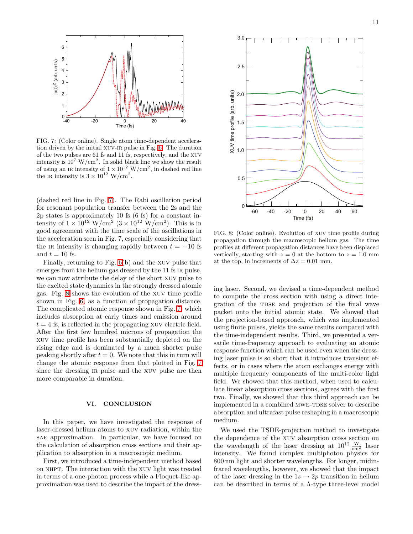

<span id="page-12-1"></span>FIG. 7: (Color online). Single atom time-dependent acceleration driven by the initial xuv-ir pulse in Fig. [6.](#page-11-0) The duration of the two pulses are 61 fs and 11 fs, respectively, and the xuv intensity is  $10^7$  W/cm<sup>2</sup>. In solid black line we show the result of using an IR intensity of  $1 \times 10^{12}$  W/cm<sup>2</sup>, in dashed red line the IR intensity is  $3 \times 10^{12}$  W/cm<sup>2</sup>.

(dashed red line in Fig. [7\)](#page-12-1). The Rabi oscillation period for resonant population transfer between the 2s and the 2p states is approximately 10 fs (6 fs) for a constant intensity of  $1 \times 10^{12} \text{ W/cm}^2 (3 \times 10^{12} \text{ W/cm}^2)$ . This is in good agreement with the time scale of the oscillations in the acceleration seen in Fig. 7, especially considering that the intensity is changing rapidly between  $t = -10$  fs and  $t = 10$  fs.

Finally, returning to Fig. [6\(](#page-11-0)b) and the xuv pulse that emerges from the helium gas dressed by the 11 fs IR pulse, we can now attribute the delay of the short xuv pulse to the excited state dynamics in the strongly dressed atomic gas. Fig. [8](#page-12-2) shows the evolution of the xuv time profile shown in Fig. [6,](#page-11-0) as a function of propagation distance. The complicated atomic response shown in Fig. [7,](#page-12-1) which includes absorption at early times and emission around  $t = 4$  fs, is reflected in the propagating XUV electric field. After the first few hundred microns of propagation the xuv time profile has been substantially depleted on the rising edge and is dominated by a much shorter pulse peaking shortly after  $t = 0$ . We note that this in turn will change the atomic response from that plotted in Fig. [7](#page-12-1) since the dressing IR pulse and the XUV pulse are then more comparable in duration.

### VI. CONCLUSION

<span id="page-12-0"></span>In this paper, we have investigated the response of laser-dressed helium atoms to xuv radiation, within the sae approximation. In particular, we have focused on the calculation of absorption cross sections and their application to absorption in a macroscopic medium.

First, we introduced a time-independent method based on NHPT. The interaction with the XUV light was treated in terms of a one-photon process while a Floquet-like approximation was used to describe the impact of the dress-



<span id="page-12-2"></span>FIG. 8: (Color online). Evolution of xuv time profile during propagation through the macroscopic helium gas. The time profiles at different propagation distances have been displaced vertically, starting with  $z = 0$  at the bottom to  $z = 1.0$  mm at the top, in increments of  $\Delta z = 0.01$  mm.

ing laser. Second, we devised a time-dependent method to compute the cross section with using a direct integration of the TDSE and projection of the final wave packet onto the initial atomic state. We showed that the projection-based approach, which was implemented using finite pulses, yields the same results compared with the time-independent results. Third, we presented a versatile time-frequency approach to evaluating an atomic response function which can be used even when the dressing laser pulse is so short that it introduces transient effects, or in cases where the atom exchanges energy with multiple frequency components of the multi-color light field. We showed that this method, when used to calculate linear absorption cross sections, agrees with the first two. Finally, we showed that this third approach can be implemented in a combined MWE-TDSE solver to describe absorption and ultrafast pulse reshaping in a macroscopic medium.

We used the TSDE-projection method to investigate the dependence of the xuv absorption cross section on the wavelength of the laser dressing at  $10^{12} \frac{W}{cm^2}$  laser intensity. We found complex multiphoton physics for 800 nm light and shorter wavelengths. For longer, midinfrared wavelengths, however, we showed that the impact of the laser dressing in the  $1s \rightarrow 2p$  transition in helium can be described in terms of a Λ-type three-level model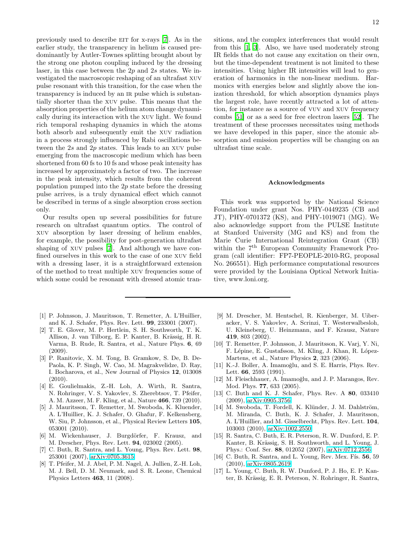previously used to describe EIT for x-rays [\[7\]](#page-13-7). As in the earlier study, the transparency in helium is caused predominantly by Autler-Townes splitting brought about by the strong one photon coupling induced by the dressing laser, in this case between the  $2p$  and  $2s$  states. We investigated the macroscopic reshaping of an ultrafast xuv pulse resonant with this transition, for the case when the transparency is induced by an ir pulse which is substantially shorter than the xuv pulse. This means that the absorption properties of the helium atom change dynamically during its interaction with the xuv light. We found rich temporal reshaping dynamics in which the atoms both absorb and subsequently emit the xuv radiation in a process strongly influenced by Rabi oscillations between the 2s and 2p states. This leads to an XUV pulse emerging from the macroscopic medium which has been shortened from 60 fs to 10 fs and whose peak intensity has increased by approximately a factor of two. The increase in the peak intensity, which results from the coherent population pumped into the 2p state before the dressing pulse arrives, is a truly dynamical effect which cannot be described in terms of a single absorption cross section only.

Our results open up several possibilities for future research on ultrafast quantum optics. The control of xuv absorption by laser dressing of helium enables, for example, the possibility for post-generation ultrafast shaping of xuv pulses [\[7\]](#page-13-7). And although we have confined ourselves in this work to the case of one xuv field with a dressing laser, it is a straightforward extension of the method to treat multiple xuv frequencies some of which some could be resonant with dressed atomic tran-

- <span id="page-13-0"></span>[1] P. Johnsson, J. Mauritsson, T. Remetter, A. L'Huillier, and K. J. Schafer, Phys. Rev. Lett. 99, 233001 (2007).
- <span id="page-13-6"></span>[2] T. E. Glover, M. P. Hertlein, S. H. Southworth, T. K. Allison, J. van Tilborg, E. P. Kanter, B. Krässig, H. R. Varma, B. Rude, R. Santra, et al., Nature Phys. 6, 69  $(2009)$ .
- <span id="page-13-13"></span>[3] P. Ranitovic, X. M. Tong, B. Gramkow, S. De, B. De-Paola, K. P. Singh, W. Cao, M. Magrakvelidze, D. Ray, I. Bocharova, et al., New Journal of Physics 12, 013008 (2010).
- [4] E. Goulielmakis, Z.-H. Loh, A. Wirth, R. Santra, N. Rohringer, V. S. Yakovlev, S. Zherebtsov, T. Pfeifer, A. M. Azzeer, M. F. Kling, et al., Nature 466, 739 (2010).
- <span id="page-13-1"></span>[5] J. Mauritsson, T. Remetter, M. Swoboda, K. Kluender, A. L'Huillier, K. J. Schafer, O. Ghafur, F. Kelkensberg, W. Siu, P. Johnsson, et al., Physical Review Letters 105, 053001 (2010).
- <span id="page-13-2"></span>[6] M. Wickenhauser, J. Burgdörfer, F. Krausz, and M. Drescher, Phys. Rev. Lett. 94, 023002 (2005).
- <span id="page-13-7"></span>[7] C. Buth, R. Santra, and L. Young, Phys. Rev. Lett. 98, 253001 (2007), [arXiv:0705.3615.](http://arxiv.org/abs/0705.3615)
- <span id="page-13-3"></span>[8] T. Pfeifer, M. J. Abel, P. M. Nagel, A. Jullien, Z.-H. Loh, M. J. Bell, D. M. Neumark, and S. R. Leone, Chemical Physics Letters 463, 11 (2008).

sitions, and the complex interferences that would result from this [\[1](#page-13-0), [3](#page-13-13)]. Also, we have used moderately strong IR fields that do not cause any excitation on their own, but the time-dependent treatment is not limited to these intensities. Using higher IR intensities will lead to generation of harmonics in the non-linear medium. Harmonics with energies below and slightly above the ionization threshold, for which absorption dynamics plays the largest role, have recently attracted a lot of attention, for instance as a source of vuv and xuv frequency combs [\[51](#page-14-31)] or as a seed for free electron lasers [\[52](#page-14-32)]. The treatment of these processes necessitates using methods we have developed in this paper, since the atomic absorption and emission properties will be changing on an ultrafast time scale.

#### Acknowledgments

This work was supported by the National Science Foundation under grant Nos. PHY-0449235 (CB and JT), PHY-0701372 (KS), and PHY-1019071 (MG). We also acknowledge support from the PULSE Institute at Stanford University (MG and KS) and from the Marie Curie International Reintegration Grant (CB) within the 7<sup>th</sup> European Community Framework Program (call identifier: FP7-PEOPLE-2010-RG, proposal No. 266551). High performance computational resources were provided by the Louisiana Optical Network Initiative, www.loni.org.

- <span id="page-13-4"></span>[9] M. Drescher, M. Hentschel, R. Kienberger, M. Uiberacker, V. S. Yakovlev, A. Scrinzi, T. Westerwalbesloh, U. Kleineberg, U. Heinzmann, and F. Krausz, Nature 419, 803 (2002).
- <span id="page-13-5"></span>[10] T. Remetter, P. Johnsson, J. Mauritsson, K. Varj, Y. Ni, F. Lépine, E. Gustafsson, M. Kling, J. Khan, R. López-Martens, et al., Nature Physics 2, 323 (2006).
- <span id="page-13-8"></span>[11] K.-J. Boller, A. Imamoğlu, and S. E. Harris, Phys. Rev. Lett. 66, 2593 (1991).
- <span id="page-13-12"></span>[12] M. Fleischhauer, A. Imamoğlu, and J. P. Marangos, Rev. Mod. Phys. 77, 633 (2005).
- [13] C. Buth and K. J. Schafer, Phys. Rev. A 80, 033410 (2009), [arXiv:0905.3756.](http://arxiv.org/abs/0905.3756)
- <span id="page-13-9"></span>[14] M. Swoboda, T. Fordell, K. Klünder, J. M. Dahlström, M. Miranda, C. Buth, K. J. Schafer, J. Mauritsson, A. L'Huillier, and M. Gisselbrecht, Phys. Rev. Lett. 104, 103003 (2010), [arXiv:1002.2550.](http://arxiv.org/abs/1002.2550)
- <span id="page-13-10"></span>[15] R. Santra, C. Buth, E. R. Peterson, R. W. Dunford, E. P. Kanter, B. Krässig, S. H. Southworth, and L. Young, J. Phys.: Conf. Ser. 88, 012052 (2007), [arXiv:0712.2556.](http://arxiv.org/abs/0712.2556)
- [16] C. Buth, R. Santra, and L. Young, Rev. Mex. Fís.  $56, 59$ (2010), [arXiv:0805.2619.](http://arxiv.org/abs/0805.2619)
- <span id="page-13-11"></span>[17] L. Young, C. Buth, R. W. Dunford, P. J. Ho, E. P. Kanter, B. Krässig, E. R. Peterson, N. Rohringer, R. Santra,